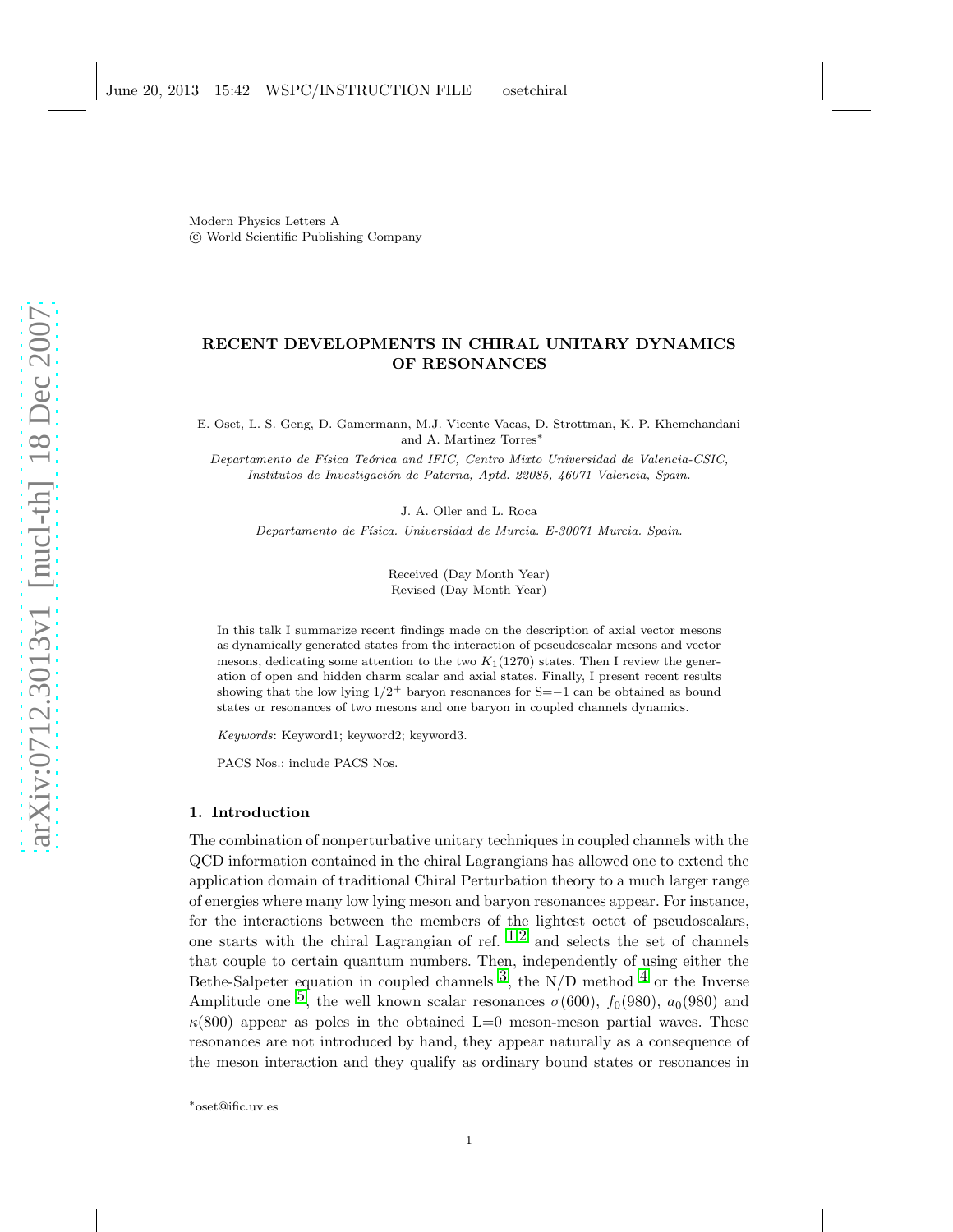Modern Physics Letters A c World Scientific Publishing Company

# RECENT DEVELOPMENTS IN CHIRAL UNITARY DYNAMICS OF RESONANCES

E. Oset, L. S. Geng, D. Gamermann, M.J. Vicente Vacas, D. Strottman, K. P. Khemchandani and A. Martinez Torres<sup>∗</sup>

Departamento de Física Teórica and IFIC, Centro Mixto Universidad de Valencia-CSIC, Institutos de Investigación de Paterna, Aptd. 22085, 46071 Valencia, Spain.

J. A. Oller and L. Roca

Departamento de Física. Universidad de Murcia. E-30071 Murcia. Spain.

Received (Day Month Year) Revised (Day Month Year)

In this talk I summarize recent findings made on the description of axial vector mesons as dynamically generated states from the interaction of peseudoscalar mesons and vector mesons, dedicating some attention to the two  $K_1(1270)$  states. Then I review the generation of open and hidden charm scalar and axial states. Finally, I present recent results showing that the low lying  $1/2^+$  baryon resonances for S=−1 can be obtained as bound states or resonances of two mesons and one baryon in coupled channels dynamics.

Keywords: Keyword1; keyword2; keyword3.

PACS Nos.: include PACS Nos.

## 1. Introduction

The combination of nonperturbative unitary techniques in coupled channels with the QCD information contained in the chiral Lagrangians has allowed one to extend the application domain of traditional Chiral Perturbation theory to a much larger range of energies where many low lying meson and baryon resonances appear. For instance, for the interactions between the members of the lightest octet of pseudoscalars, one starts with the chiral Lagrangian of ref.  $1,2$  $1,2$  $1,2$  and selects the set of channels that couple to certain quantum numbers. Then, independently of using either the Bethe-Salpeter equation in coupled channels  $\overline{3}$ , the N/D method  $\overline{4}$  $\overline{4}$  $\overline{4}$  or the Inverse Amplitude one <sup>5</sup>, the well known scalar resonances  $\sigma$ (600),  $f_0(980)$ ,  $a_0(980)$  and  $\kappa(800)$  appear as poles in the obtained L=0 meson-meson partial waves. These resonances are not introduced by hand, they appear naturally as a consequence of the meson interaction and they qualify as ordinary bound states or resonances in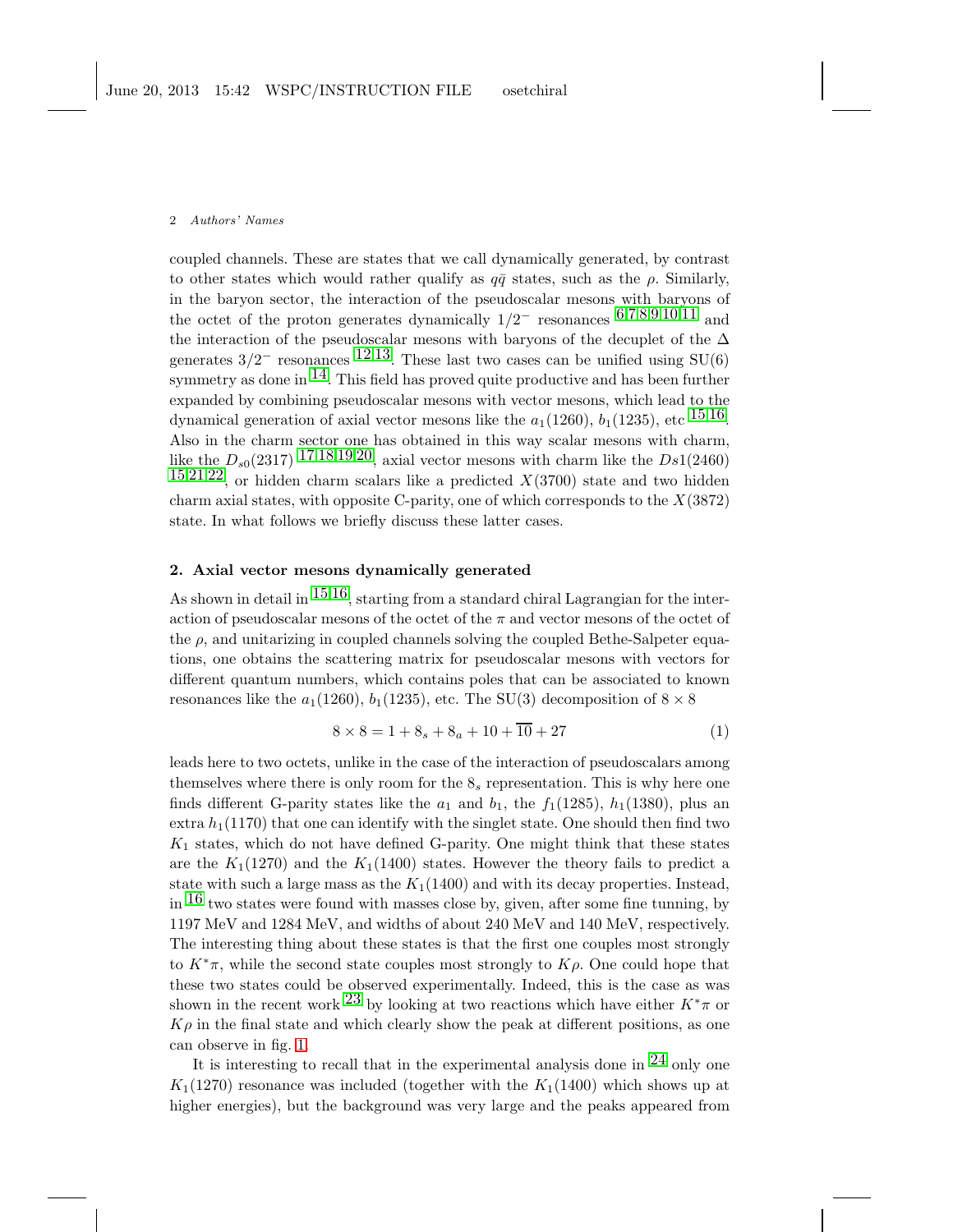coupled channels. These are states that we call dynamically generated, by contrast to other states which would rather qualify as  $q\bar{q}$  states, such as the  $\rho$ . Similarly, in the baryon sector, the interaction of the pseudoscalar mesons with baryons of the octet of the proton generates dynamically  $1/2^-$  resonances [6](#page-7-5),[7](#page-7-6),[8](#page-7-7),[9](#page-7-8),[10](#page-7-9),[11](#page-7-10) and the interaction of the pseudoscalar mesons with baryons of the decuplet of the  $\Delta$ generates  $3/2^-$  resonances  $12.13$  $12.13$ . These last two cases can be unified using SU(6) symmetry as done in  $^{14}$ . This field has proved quite productive and has been further expanded by combining pseudoscalar mesons with vector mesons, which lead to the dynamical generation of axial vector mesons like the  $a_1(1260)$ ,  $b_1(1235)$ , etc  $15,16$  $15,16$ . Also in the charm sector one has obtained in this way scalar mesons with charm, like the  $D_{s0}(2317)$  $D_{s0}(2317)$  $D_{s0}(2317)$  17,[18](#page-7-17),[19](#page-7-18),[20,](#page-7-19) axial vector mesons with charm like the  $Ds1(2460)$  $15,21,22$  $15,21,22$  $15,21,22$  $15,21,22$ , or hidden charm scalars like a predicted  $X(3700)$  state and two hidden charm axial states, with opposite C-parity, one of which corresponds to the  $X(3872)$ state. In what follows we briefly discuss these latter cases.

## 2. Axial vector mesons dynamically generated

As shown in detail in  $15,16$  $15,16$ , starting from a standard chiral Lagrangian for the interaction of pseudoscalar mesons of the octet of the  $\pi$  and vector mesons of the octet of the  $\rho$ , and unitarizing in coupled channels solving the coupled Bethe-Salpeter equations, one obtains the scattering matrix for pseudoscalar mesons with vectors for different quantum numbers, which contains poles that can be associated to known resonances like the  $a_1(1260)$ ,  $b_1(1235)$ , etc. The SU(3) decomposition of  $8 \times 8$ 

$$
8 \times 8 = 1 + 8_s + 8_a + 10 + \overline{10} + 27 \tag{1}
$$

leads here to two octets, unlike in the case of the interaction of pseudoscalars among themselves where there is only room for the  $\mathcal{S}_s$  representation. This is why here one finds different G-parity states like the  $a_1$  and  $b_1$ , the  $f_1(1285)$ ,  $h_1(1380)$ , plus an extra  $h_1(1170)$  that one can identify with the singlet state. One should then find two  $K_1$  states, which do not have defined G-parity. One might think that these states are the  $K_1(1270)$  and the  $K_1(1400)$  states. However the theory fails to predict a state with such a large mass as the  $K_1(1400)$  and with its decay properties. Instead, in  $16$  two states were found with masses close by, given, after some fine tunning, by 1197 MeV and 1284 MeV, and widths of about 240 MeV and 140 MeV, respectively. The interesting thing about these states is that the first one couples most strongly to  $K^*\pi$ , while the second state couples most strongly to  $K\rho$ . One could hope that these two states could be observed experimentally. Indeed, this is the case as was shown in the recent work <sup>[23](#page-7-22)</sup> by looking at two reactions which have either  $K^*\pi$  or  $K\rho$  in the final state and which clearly show the peak at different positions, as one can observe in fig. [1.](#page-2-0)

It is interesting to recall that in the experimental analysis done in  $^{24}$  $^{24}$  $^{24}$  only one  $K_1(1270)$  resonance was included (together with the  $K_1(1400)$  which shows up at higher energies), but the background was very large and the peaks appeared from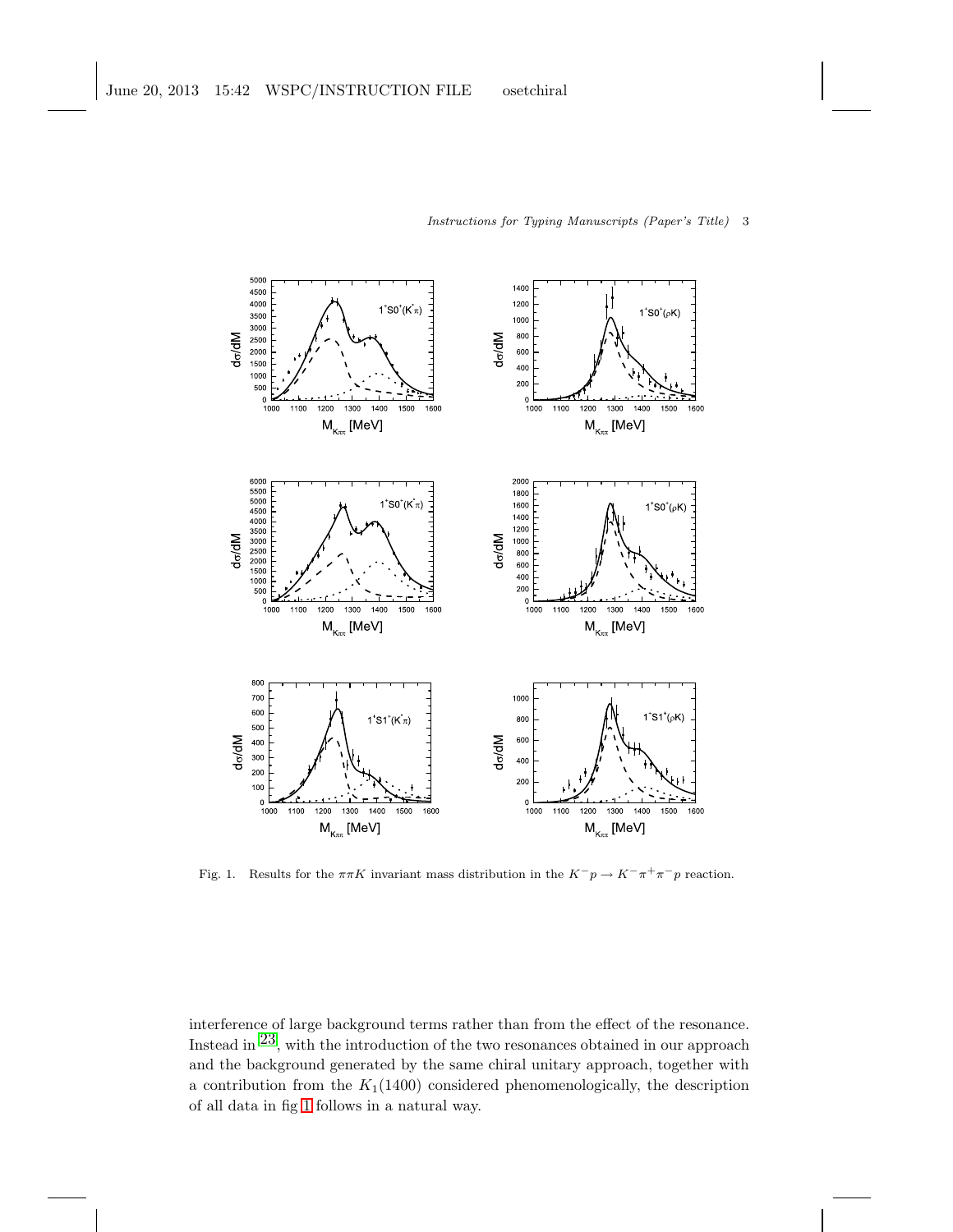

Instructions for Typing Manuscripts (Paper's Title) 3

<span id="page-2-0"></span>Fig. 1. Results for the  $\pi\pi K$  invariant mass distribution in the  $K^-p \to K^-\pi^+\pi^-p$  reaction.

interference of large background terms rather than from the effect of the resonance. Instead in [23,](#page-7-22) with the introduction of the two resonances obtained in our approach and the background generated by the same chiral unitary approach, together with a contribution from the  $K_1(1400)$  considered phenomenologically, the description of all data in fig [1](#page-2-0) follows in a natural way.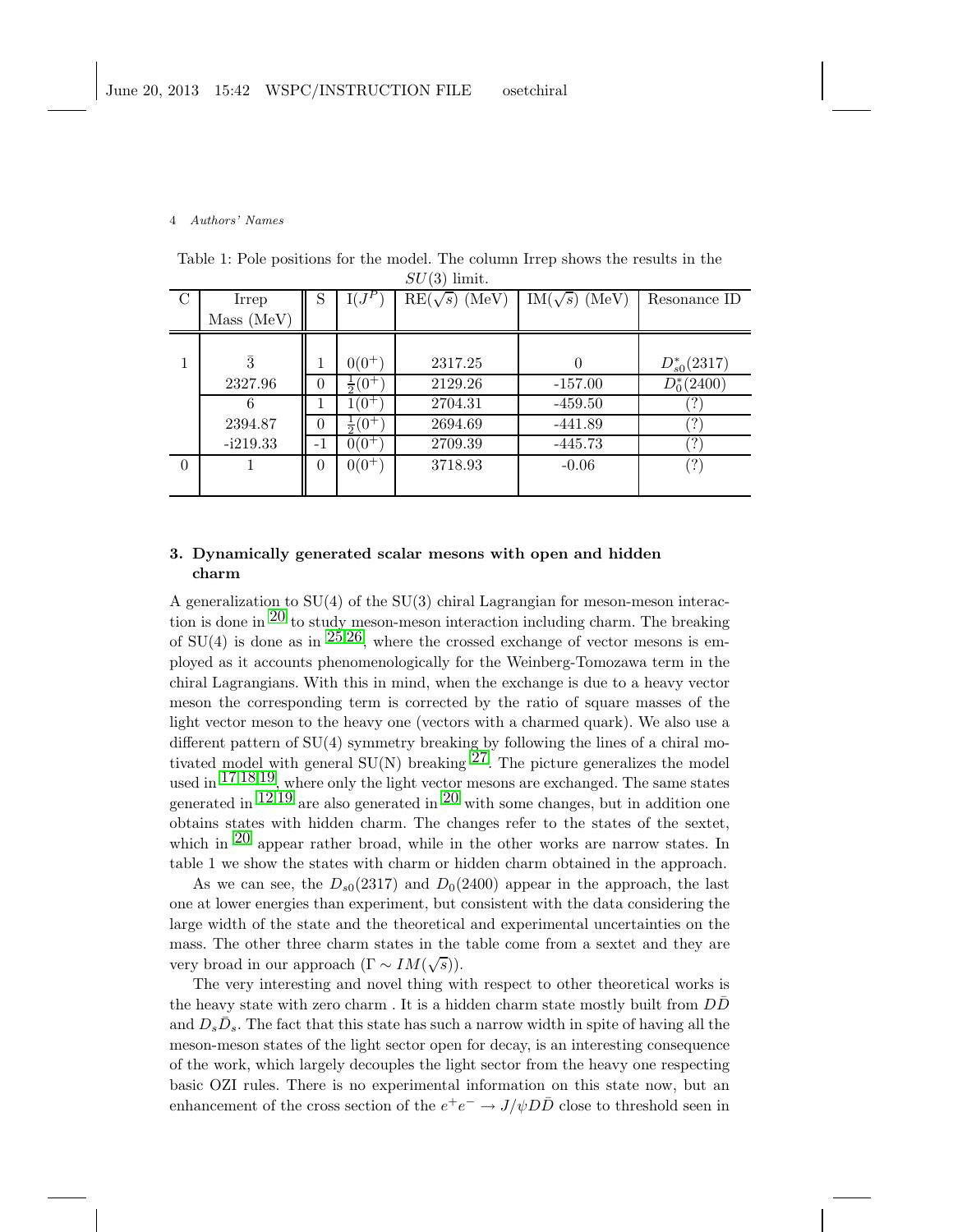| SU<br>(3)<br>limit. |            |          |                 |                      |                      |                                                          |  |  |  |  |  |
|---------------------|------------|----------|-----------------|----------------------|----------------------|----------------------------------------------------------|--|--|--|--|--|
| C                   | Irrep      | S        | $I(J^P)$        | $RE(\sqrt{s})$ (MeV) | $IM(\sqrt{s})$ (MeV) | Resonance ID                                             |  |  |  |  |  |
|                     | Mass (MeV) |          |                 |                      |                      |                                                          |  |  |  |  |  |
|                     |            |          |                 |                      |                      |                                                          |  |  |  |  |  |
|                     | $\bar{3}$  |          | $0(0^+)$        | 2317.25              | $\theta$             | $D_{s0}^*(2317)$                                         |  |  |  |  |  |
|                     | 2327.96    | 0        | $rac{1}{2}(0^+$ | 2129.26              | $-157.00$            | $D_0^*(2400)$                                            |  |  |  |  |  |
|                     | 6          |          | $1(0^{+})$      | 2704.31              | $-459.50$            |                                                          |  |  |  |  |  |
|                     | 2394.87    | $\Omega$ | $rac{1}{2}(0^+$ | 2694.69              | -441.89              | $^{\prime}$ ?)                                           |  |  |  |  |  |
|                     | $-i219.33$ | $-1$     | $0(0^+)$        | 2709.39              | $-445.73$            | $\left( \begin{smallmatrix} 2 \end{smallmatrix} \right)$ |  |  |  |  |  |
| $\Omega$            |            | $\theta$ | $0(0^+)$        | 3718.93              | $-0.06$              | $^{\prime}$ ?)                                           |  |  |  |  |  |
|                     |            |          |                 |                      |                      |                                                          |  |  |  |  |  |

Table 1: Pole positions for the model. The column Irrep shows the results in the

# 3. Dynamically generated scalar mesons with open and hidden charm

A generalization to  $SU(4)$  of the  $SU(3)$  chiral Lagrangian for meson-meson interaction is done in  $20$  to study meson-meson interaction including charm. The breaking of SU(4) is done as in  $25.26$  $25.26$ , where the crossed exchange of vector mesons is employed as it accounts phenomenologically for the Weinberg-Tomozawa term in the chiral Lagrangians. With this in mind, when the exchange is due to a heavy vector meson the corresponding term is corrected by the ratio of square masses of the light vector meson to the heavy one (vectors with a charmed quark). We also use a different pattern of SU(4) symmetry breaking by following the lines of a chiral motivated model with general  $SU(N)$  breaking  $27$ . The picture generalizes the model used in  $17,18,19$  $17,18,19$  $17,18,19$  $17,18,19$ , where only the light vector mesons are exchanged. The same states generated in  $12.19$  $12.19$  $12.19$  are also generated in  $20$  with some changes, but in addition one obtains states with hidden charm. The changes refer to the states of the sextet, which in  $^{20}$  $^{20}$  $^{20}$  appear rather broad, while in the other works are narrow states. In table 1 we show the states with charm or hidden charm obtained in the approach.

As we can see, the  $D_{s0}(2317)$  and  $D_0(2400)$  appear in the approach, the last one at lower energies than experiment, but consistent with the data considering the large width of the state and the theoretical and experimental uncertainties on the mass. The other three charm states in the table come from a sextet and they are very broad in our approach  $(\Gamma \sim IM(\sqrt{s})).$ 

The very interesting and novel thing with respect to other theoretical works is the heavy state with zero charm. It is a hidden charm state mostly built from  $D\bar{D}$ and  $D_s\bar{D}_s$ . The fact that this state has such a narrow width in spite of having all the meson-meson states of the light sector open for decay, is an interesting consequence of the work, which largely decouples the light sector from the heavy one respecting basic OZI rules. There is no experimental information on this state now, but an enhancement of the cross section of the  $e^+e^-\rightarrow J/\psi D\bar{D}$  close to threshold seen in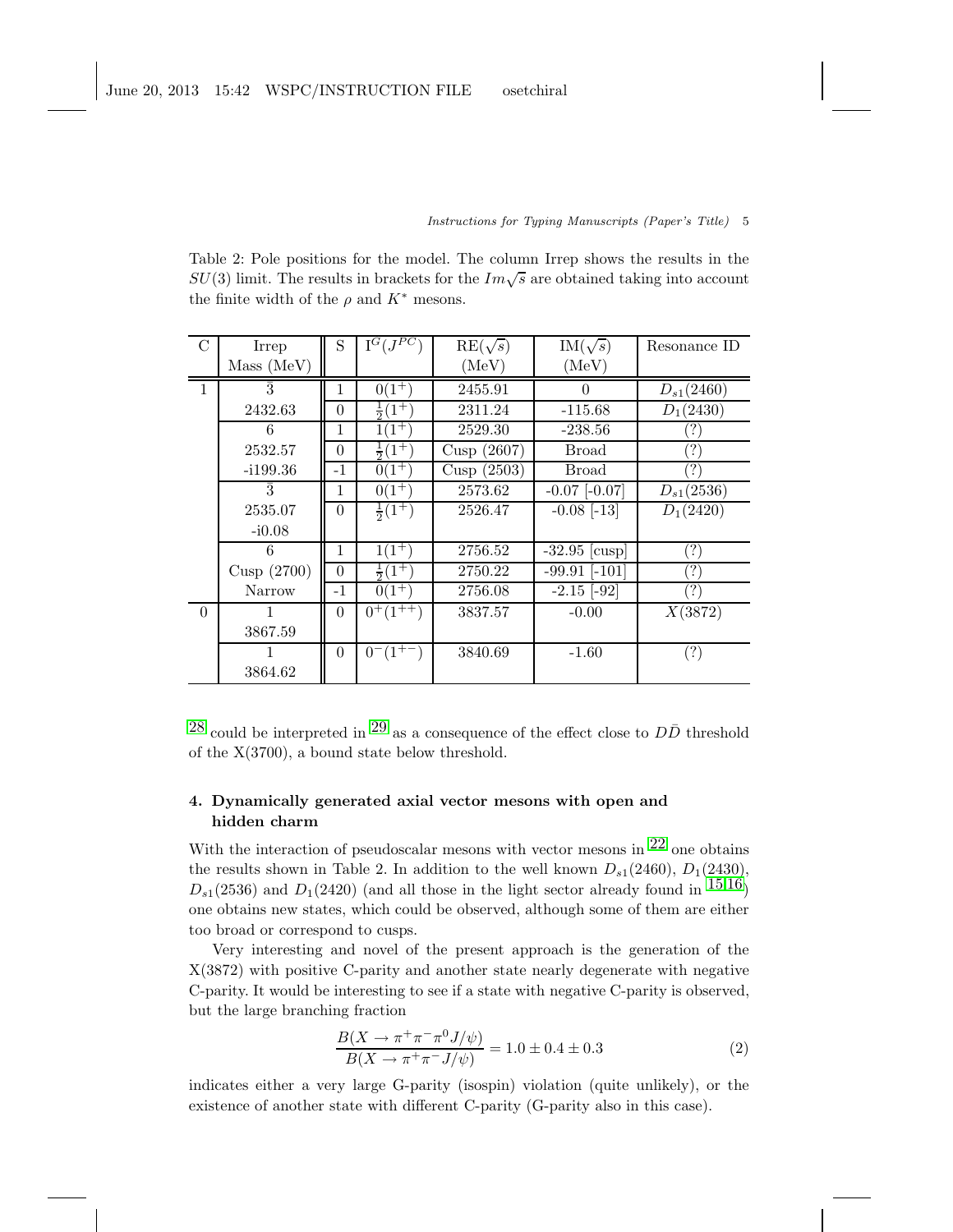### Instructions for Typing Manuscripts (Paper's Title) 5

Table 2: Pole positions for the model. The column Irrep shows the results in the  $SU(3)$  limit. The results in brackets for the  $Im\sqrt{s}$  are obtained taking into account the finite width of the  $\rho$  and  $K^*$  mesons.

| $\mathcal{C}$ | Irrep         | S        | $I^G(J^{PC})$                | $RE(\sqrt{s})$ | $IM(\sqrt{s})$    | Resonance ID             |
|---------------|---------------|----------|------------------------------|----------------|-------------------|--------------------------|
|               | Mass (MeV)    |          |                              | (MeV)          | (MeV)             |                          |
| $\mathbf{1}$  | $\bar{3}$     | 1        | $0(1^+)$                     | 2455.91        | $\Omega$          | $D_{s1}(2460)$           |
|               | 2432.63       | $\theta$ | $rac{1}{2}(1^{\frac{1}{2}})$ | 2311.24        | $-115.68$         | $D_1(2430)$              |
|               | 6             | 1        | $^{\prime}1^+$               | 2529.30        | $-238.56$         |                          |
|               | 2532.57       | $\theta$ | $rac{1}{2}(1^+$              | Cusp (2607)    | Broad             | $\cdot$ ?                |
|               | $-1199.36$    | $-1$     | $0(1^+$                      | Cusp $(2503)$  | Broad             |                          |
|               | 3             | 1        | $0(1^{+})$                   | 2573.62        | $-0.07$ $[-0.07]$ | $D_{s1}(2536)$           |
|               | 2535.07       | $\theta$ | $rac{1}{2}(1^+)$             | 2526.47        | $-0.08$ [-13]     | $D_1(2420)$              |
|               | $-i0.08$      |          |                              |                |                   |                          |
|               | 6             | 1        | $1(1^+)$                     | 2756.52        | $-32.95$ [cusp]   | (?)                      |
|               | Cusp $(2700)$ | $\theta$ | $rac{1}{2}(1^+)$             | 2750.22        | $-99.91$ $[-101]$ | $\ddot{?}$               |
|               | Narrow        | $-1$     | $0(1^{+})$                   | 2756.08        | $-2.15$ $[-92]$   | $\overline{\mathcal{E}}$ |
| $\Omega$      |               | $\theta$ | $0^+(1^{++})$                | 3837.57        | $-0.00$           | X(3872)                  |
|               | 3867.59       |          |                              |                |                   |                          |
|               |               | $\Omega$ | $0^{-}$ (1 <sup>+-</sup>     | 3840.69        | $-1.60$           | (?)                      |
|               | 3864.62       |          |                              |                |                   |                          |

<sup>[28](#page-7-27)</sup> could be interpreted in <sup>[29](#page-7-28)</sup> as a consequence of the effect close to  $D\bar{D}$  threshold of the X(3700), a bound state below threshold.

# 4. Dynamically generated axial vector mesons with open and hidden charm

With the interaction of pseudoscalar mesons with vector mesons in  $22$  one obtains the results shown in Table 2. In addition to the well known  $D_{s1}(2460)$ ,  $D_1(2430)$ ,  $D_{s1}(2536)$  and  $D_1(2420)$  (and all those in the light sector already found in  $15,16$  $15,16$ ) one obtains new states, which could be observed, although some of them are either too broad or correspond to cusps.

Very interesting and novel of the present approach is the generation of the X(3872) with positive C-parity and another state nearly degenerate with negative C-parity. It would be interesting to see if a state with negative C-parity is observed, but the large branching fraction

$$
\frac{B(X \to \pi^+ \pi^- \pi^0 J/\psi)}{B(X \to \pi^+ \pi^- J/\psi)} = 1.0 \pm 0.4 \pm 0.3
$$
 (2)

indicates either a very large G-parity (isospin) violation (quite unlikely), or the existence of another state with different C-parity (G-parity also in this case).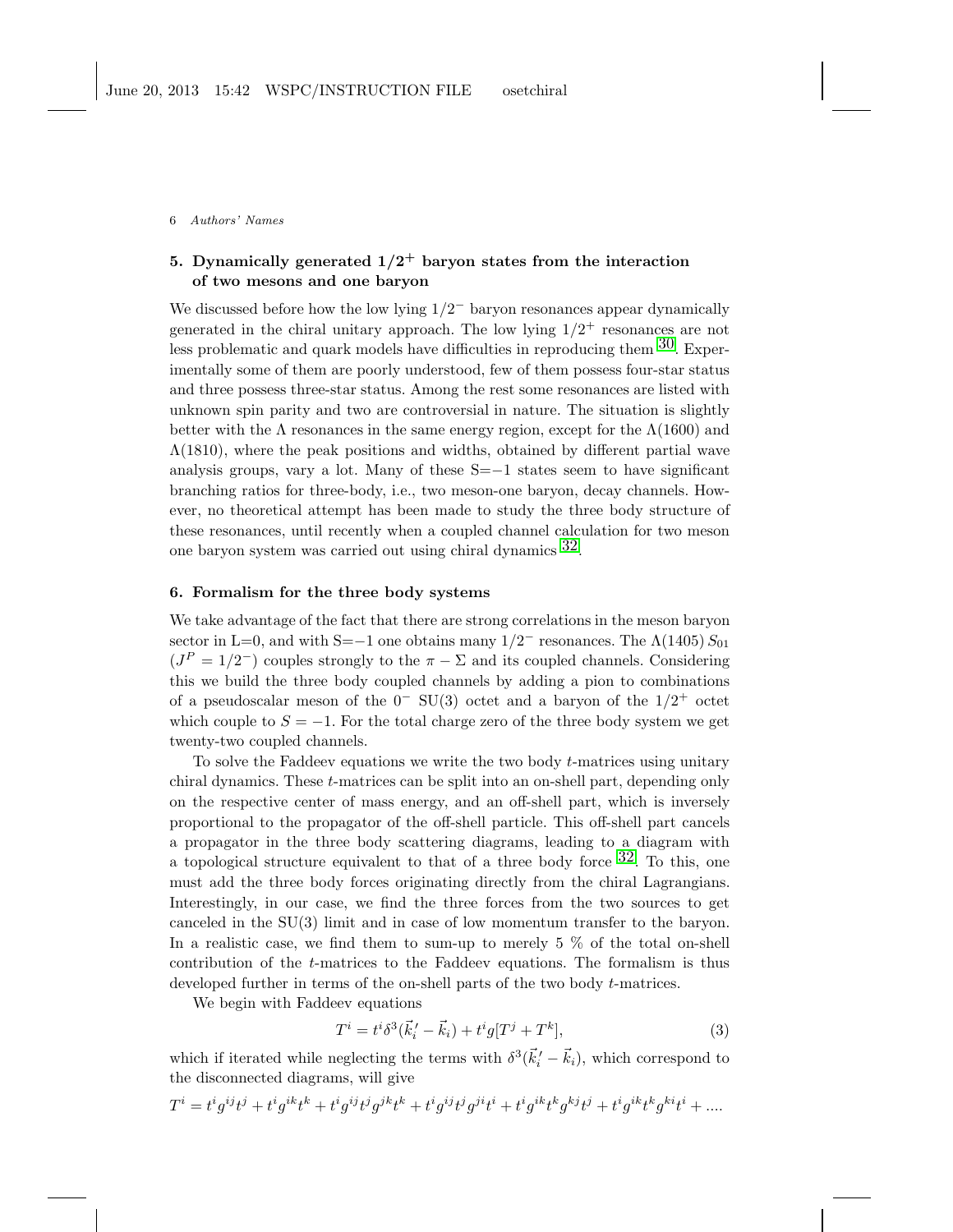# 5. Dynamically generated  $1/2^+$  baryon states from the interaction of two mesons and one baryon

We discussed before how the low lying  $1/2^-$  baryon resonances appear dynamically generated in the chiral unitary approach. The low lying  $1/2^+$  resonances are not less problematic and quark models have difficulties in reproducing them  $30$ . Experimentally some of them are poorly understood, few of them possess four-star status and three possess three-star status. Among the rest some resonances are listed with unknown spin parity and two are controversial in nature. The situation is slightly better with the  $\Lambda$  resonances in the same energy region, except for the  $\Lambda(1600)$  and  $\Lambda(1810)$ , where the peak positions and widths, obtained by different partial wave analysis groups, vary a lot. Many of these S=−1 states seem to have significant branching ratios for three-body, i.e., two meson-one baryon, decay channels. However, no theoretical attempt has been made to study the three body structure of these resonances, until recently when a coupled channel calculation for two meson one baryon system was carried out using chiral dynamics [32.](#page-7-30)

## 6. Formalism for the three body systems

We take advantage of the fact that there are strong correlations in the meson baryon sector in L=0, and with S=−1 one obtains many  $1/2^-$  resonances. The  $\Lambda(1405) S_{01}$  $(J^P=1/2^-)$  couples strongly to the  $\pi-\Sigma$  and its coupled channels. Considering this we build the three body coupled channels by adding a pion to combinations of a pseudoscalar meson of the  $0^-$  SU(3) octet and a baryon of the  $1/2^+$  octet which couple to  $S = -1$ . For the total charge zero of the three body system we get twenty-two coupled channels.

To solve the Faddeev equations we write the two body  $t$ -matrices using unitary chiral dynamics. These t-matrices can be split into an on-shell part, depending only on the respective center of mass energy, and an off-shell part, which is inversely proportional to the propagator of the off-shell particle. This off-shell part cancels a propagator in the three body scattering diagrams, leading to a diagram with a topological structure equivalent to that of a three body force  $32$ . To this, one must add the three body forces originating directly from the chiral Lagrangians. Interestingly, in our case, we find the three forces from the two sources to get canceled in the SU(3) limit and in case of low momentum transfer to the baryon. In a realistic case, we find them to sum-up to merely 5 % of the total on-shell contribution of the t-matrices to the Faddeev equations. The formalism is thus developed further in terms of the on-shell parts of the two body *t*-matrices.

We begin with Faddeev equations

$$
T^{i} = t^{i} \delta^{3}(\vec{k}'_{i} - \vec{k}_{i}) + t^{i} g[T^{j} + T^{k}], \qquad (3)
$$

which if iterated while neglecting the terms with  $\delta^3(\vec{k}'_i - \vec{k}_i)$ , which correspond to the disconnected diagrams, will give

$$
T^i=t^i g^{ij}t^j+t^i g^{ik}t^k+t^i g^{ij}t^j g^{jk}t^k+t^i g^{ij}t^j g^{ji}t^i+t^i g^{ik}t^k g^{kj}t^j+t^i g^{ik}t^k g^{ki}t^i+\ldots
$$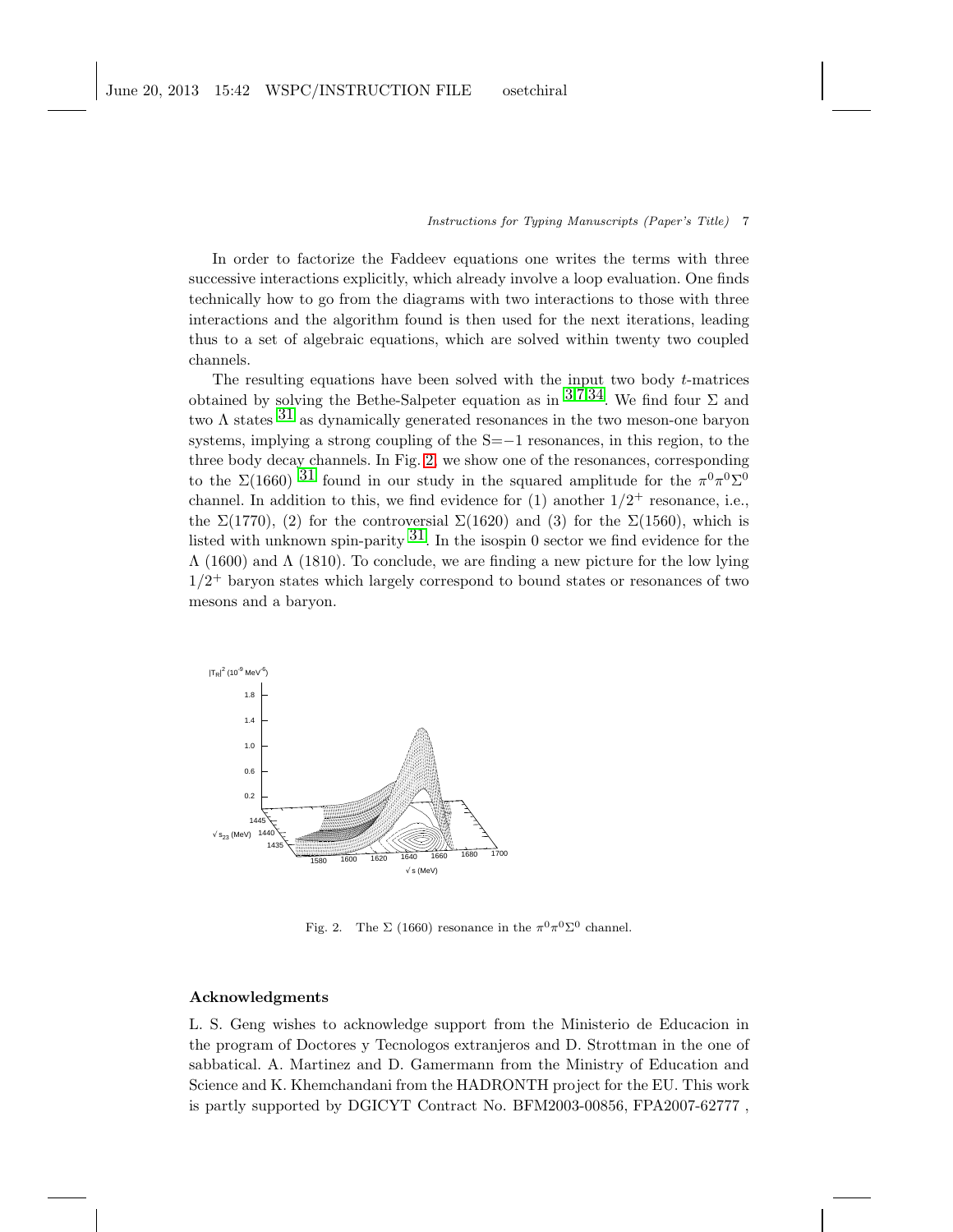### Instructions for Typing Manuscripts (Paper's Title) 7

In order to factorize the Faddeev equations one writes the terms with three successive interactions explicitly, which already involve a loop evaluation. One finds technically how to go from the diagrams with two interactions to those with three interactions and the algorithm found is then used for the next iterations, leading thus to a set of algebraic equations, which are solved within twenty two coupled channels.

The resulting equations have been solved with the input two body  $t$ -matrices obtained by solving the Bethe-Salpeter equation as in  $3,7,34$  $3,7,34$  $3,7,34$  $3,7,34$ . We find four  $\Sigma$  and two  $\Lambda$  states  $31$  as dynamically generated resonances in the two meson-one baryon systems, implying a strong coupling of the S=−1 resonances, in this region, to the three body decay channels. In Fig. [2,](#page-6-0) we show one of the resonances, corresponding to the  $\Sigma(1660)$  [31](#page-7-32) found in our study in the squared amplitude for the  $\pi^0 \pi^0 \Sigma^0$ channel. In addition to this, we find evidence for  $(1)$  another  $1/2^+$  resonance, i.e., the  $\Sigma(1770)$ , (2) for the controversial  $\Sigma(1620)$  and (3) for the  $\Sigma(1560)$ , which is listed with unknown spin-parity  $31$ . In the isospin 0 sector we find evidence for the  $\Lambda$  (1600) and  $\Lambda$  (1810). To conclude, we are finding a new picture for the low lying  $1/2$ <sup>+</sup> baryon states which largely correspond to bound states or resonances of two mesons and a baryon.



<span id="page-6-0"></span>Fig. 2. The  $\Sigma$  (1660) resonance in the  $\pi^0 \pi^0 \Sigma^0$  channel.

### Acknowledgments

L. S. Geng wishes to acknowledge support from the Ministerio de Educacion in the program of Doctores y Tecnologos extranjeros and D. Strottman in the one of sabbatical. A. Martinez and D. Gamermann from the Ministry of Education and Science and K. Khemchandani from the HADRONTH project for the EU. This work is partly supported by DGICYT Contract No. BFM2003-00856, FPA2007-62777 ,